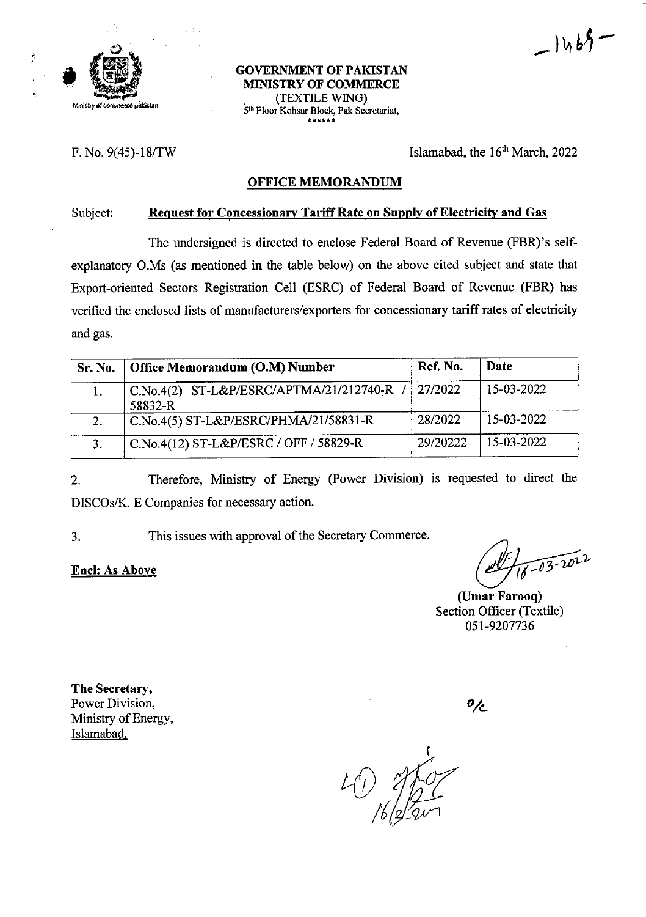

\*

#### **GOVERNMENT OF PAKISTAN MINISTRY OF COMMERCE** Mmlstry of converse palistan **the Community of the Converse palistan 5th Floor Kohsar Block, Pak Secretariat,** \*\*\*\*\*\*

F. No.  $9(45)$ -18/TW Islamabad, the 16<sup>th</sup> March, 2022

 $-1469$ 

#### **OFFICE MEMORANDUM**

#### **Subject: Request for Concessionary Tariff Rate on Supply of Electricity and Gas**

The undersigned is directed to enclose Federal Board of Revenue (FBR)'s selfexplanatory O.Ms (as mentioned in the table below) on the above cited subject and state that Export-oriented Sectors Registration Cell (ESRC) of Federal Board of Revenue (FBR) has verified the enclosed lists of manufacturers/exporters for concessionary tariff rates of electricity and gas.

| Sr. No.      | Office Memorandum (O.M) Number                     | Ref. No. | Date       |
|--------------|----------------------------------------------------|----------|------------|
|              | C.No.4(2) ST-L&P/ESRC/APTMA/21/212740-R<br>58832-R | 27/2022  | 15-03-2022 |
| 2.           | C.No.4(5) ST-L&P/ESRC/PHMA/21/58831-R              | 28/2022  | 15-03-2022 |
| $\mathbf{R}$ | C.No.4(12) ST-L&P/ESRC / OFF / 58829-R             | 29/20222 | 15-03-2022 |

Therefore, Ministry of Energy (Power Division) is requested to direct the DISCOs/K. E Companies for necessary action. 2.

3. This issues with approval of the Secretary Commerce.

**Enel: As Above**

 $-03 - 2022$ 

**(Umar Farooq)** Section Officer (Textile) 051-9207736

**The** Secretary, Power Division, Ministry of Energy, Islamabad.

 $\mathfrak{o}_{\angle\!\mathcal{L}}$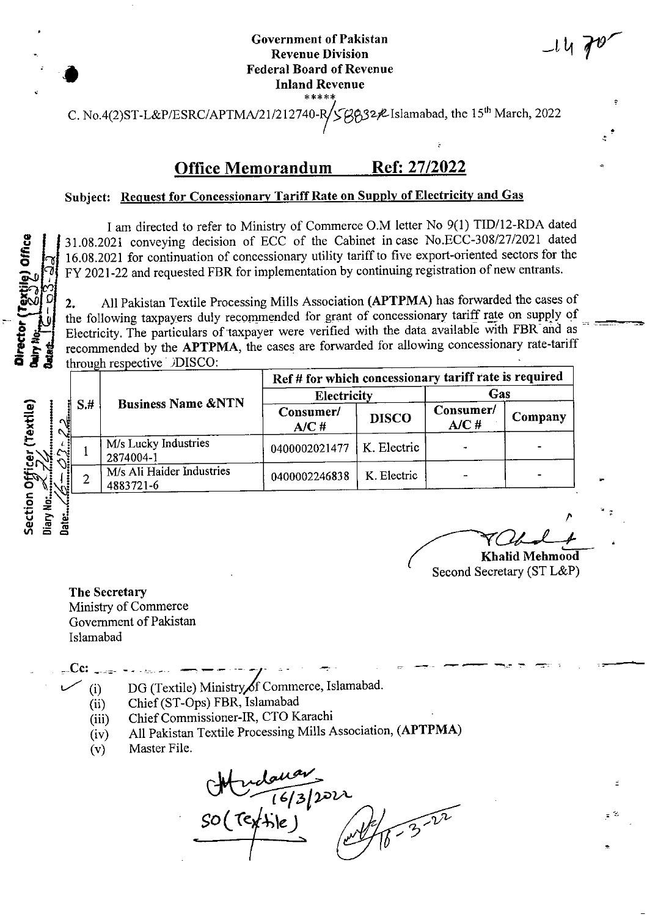#### **Government** of Pakistan **Revenue Division Federal Board of Revenue Inland Revenue \*\*\*\*\***

C. No.4(2)ST-L&P/ESRC/APTMA/21/212740-R/ $\zeta\beta\beta$ 32 $\ell$ Islamabad, the 15<sup>th</sup> March, 2022

## Office Memorandum Ref: 27/2022

#### **Subject: Request for Concessionary TariffRate on Supply of Electricity and Gas**

I am directed to refer to Ministry of Commerce O.M letter No 9(1) TID/12-RDA dated 31.08.2021 conveying decision of ECC of the Cabinet incase No.ECC-308/27/2021 dated 51.08.2021 for continuation of concessionary utility tariff to five export-oriented sectors for the<br>  $\begin{bmatrix} 16.08.2021 & \text{for continuation of coressionary utility tariff to five export-oriented sectors for the} \\ \text{FY 2021-22 and requested FBR for implementation by continuing registration of new entrants.} \end{bmatrix}$ 

*0* 2. All Pakistan Textile Processing Mills Association **(APTPMA)** has forwarded the cases of the following taxpayers duly recommended for grant of concessionary tariff rate on supply of Electricity. The particulars of taxpayer were verified with the data available with FBR and as recommended by the **APTPMA**, the cases are forwarded for allowing concessionary rate-tariff through respective )DISCO:

|  |      | through respective DISCO:<br><b>Business Name &amp;NTN</b> | Ref # for which concessionary tariff rate is required |              |                   |         |  |
|--|------|------------------------------------------------------------|-------------------------------------------------------|--------------|-------------------|---------|--|
|  | $S+$ |                                                            | <b>Electricity</b>                                    |              | Gas               |         |  |
|  |      |                                                            | Consumer/<br>A/CH                                     | <b>DISCO</b> | Consumer/<br>A/C# | Company |  |
|  |      | M/s Lucky Industries<br>2874004-1                          | 0400002021477                                         | K. Electric  |                   |         |  |
|  |      | M/s Ali Haider Industries<br>4883721-6                     | 0400002246838                                         | K. Electric  |                   |         |  |

*'CU-J—L*

 $-14$  po

**Khalid Mehmood** Second Secretary (ST L&P)

**The Secretary** Ministry of Commerce Government of Pakistan Islamabad

**#**

*9* U £

> **Cc:**<br>(i)<br>(i) DG (Textile) Ministry of Commerce, Islamabad.

- Chief(ST-Ops) FBR, Islamabad (ii)
- Chief Commissioner-IR, CTO Karachi (iii)
- All Pakistan Textile Processing Mills Association, **(APTPMA)** (iv)
- Master File. (v)

 $GM$   $1613/222$ <br> $SO(7e/4)$ e)<br> $M_{21}^2$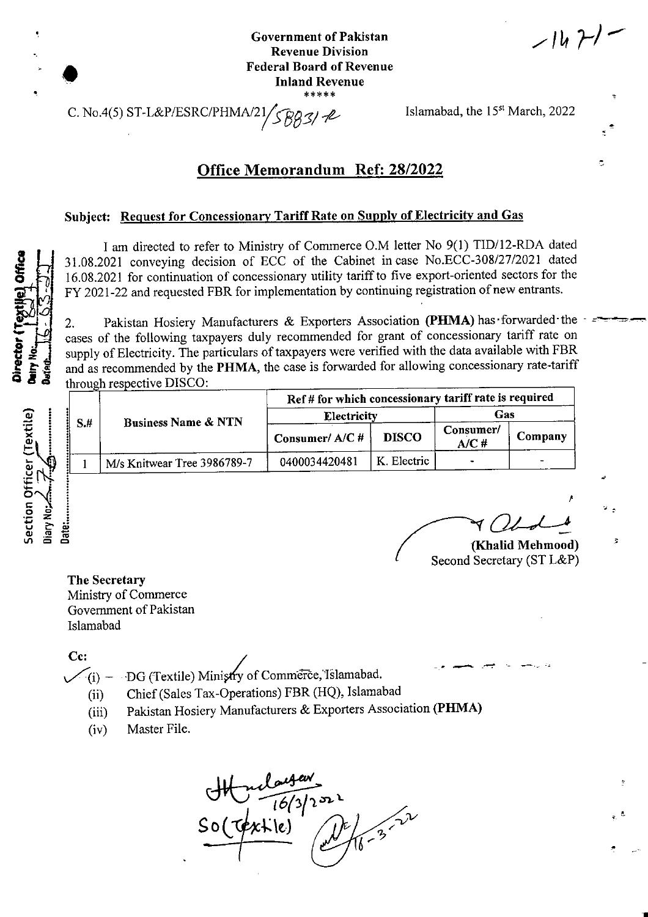**Government of Pakistan Revenue Division Federal Board of Revenue Inland Revenue**

 $1471$ 

**/**

Second Secretary (ST L&P)

 $\mathbb{V}$  .

1

**\***

 $\ddot{\circ}$ 

C. No.4(5) ST-L&P/ESRC/PHMA/21/ $\frac{29}{39}$ / $\frac{1}{2}$  Islamabad, the 15<sup>st</sup> March, 2022

## Office Memorandum Ref: 28/2022

### **Subject:** Request for Concessionary Tariff Rate on Supply of Electricity and Gas

I am directed to refer to Ministry of Commerce O.M letter No 9(1) TID/12-RDA dated 31.08.2021 conveying decision of ECC of the Cabinet incase No.ECC-308/27/2021 dated 16.08.2021 for continuation of concessionary utility tariffto five export-oriented sectors for the FY 2021-22 and requested FBR for implementation by continuing registration of new entrants.

Pakistan Hosiery Manufacturers & Exporters Association (PHMA) has forwarded the cases of the following taxpayers duly recommended for grant of concessionary tariff rate on 2. supply of Electricity. The particulars of taxpayers were verified with the data available with FBR<br>and as recommended by the **PHMA**, the case is forwarded for allowing concessionary rate-tariff<br>and as recommended by the **P** and as recommended by the PHMA, the case is forwarded for allowing concessionary rate-tariff through respective DISCO:

|                     | $S+$ | <b>Business Name &amp; NTN</b> | Ref # for which concessionary tariff rate is required |              |                    |         |
|---------------------|------|--------------------------------|-------------------------------------------------------|--------------|--------------------|---------|
| Textile)            |      |                                | <b>Electricity</b>                                    |              | Gas                |         |
|                     |      |                                | Consumer/ $A/C$ #                                     | <b>DISCO</b> | Consumer/<br>A/C # | Company |
| Æ1<br>$\frac{5}{5}$ |      | M/s Knitwear Tree 3986789-7    | 0400034420481                                         | K. Electric  |                    |         |

**E** B 2 (Khalid Mehmood) **E** 

**The Secretary** Ministry of Commerce Government of Pakistan Islamabad

**Cc:**

 $V(i)$  - DG (Textile) Ministry of Commerce, Islamabad.

- Chief(Sales Tax-Operations) FBR (HQ), Islamabad  $(ii)$
- (iii) Pakistan Hosiery Manufacturers & Exporters Association **(PHMA)**
- (iv) Master File.



**i** Section Officer (Textile) **u cT j»** <D .2 ro